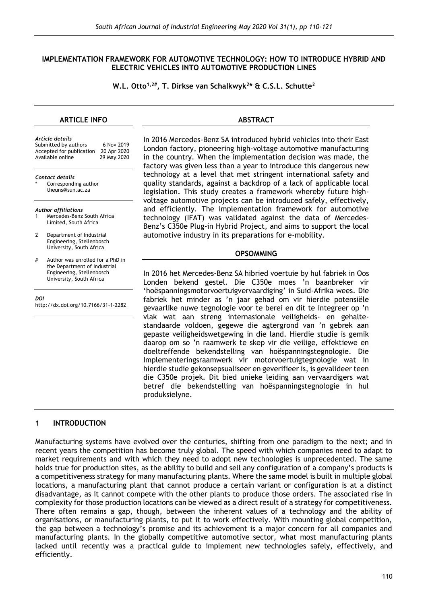#### **IMPLEMENTATION FRAMEWORK FOR AUTOMOTIVE TECHNOLOGY: HOW TO INTRODUCE HYBRID AND ELECTRIC VEHICLES INTO AUTOMOTIVE PRODUCTION LINES**

**W.L. Otto1,2# , T. Dirkse van Schalkwyk<sup>2</sup> \* & C.S.L. Schutte<sup>2</sup>**

#### **ARTICLE INFO**

#### *Article details*

| ALLICE GELUIS            |             |
|--------------------------|-------------|
| Submitted by authors     | 6 Nov 2019  |
| Accepted for publication | 20 Apr 2020 |
| Available online         | 29 May 2020 |
|                          |             |
|                          |             |

*Contact details* Corresponding author theuns@sun.ac.za

*Author affiliations* Mercedes-Benz South Africa Limited, South Africa

2 Department of Industrial Engineering, Stellenbosch University, South Africa

# Author was enrolled for a PhD in the Department of Industrial Engineering, Stellenbosch University, South Africa

*DOI* http://dx.doi.org/10.7166/31-1-2282

#### **ABSTRACT**

In 2016 Mercedes-Benz SA introduced hybrid vehicles into their East London factory, pioneering high-voltage automotive manufacturing in the country. When the implementation decision was made, the factory was given less than a year to introduce this dangerous new technology at a level that met stringent international safety and quality standards, against a backdrop of a lack of applicable local legislation. This study creates a framework whereby future highvoltage automotive projects can be introduced safely, effectively, and efficiently. The implementation framework for automotive technology (IFAT) was validated against the data of Mercedes-Benz's C350e Plug-in Hybrid Project, and aims to support the local automotive industry in its preparations for e-mobility.

#### **OPSOMMING**

In 2016 het Mercedes-Benz SA hibried voertuie by hul fabriek in Oos Londen bekend gestel. Die C350e moes 'n baanbreker vir 'hoëspanningsmotorvoertuigvervaardiging' in Suid-Afrika wees. Die fabriek het minder as 'n jaar gehad om vir hierdie potensiële gevaarlike nuwe tegnologie voor te berei en dit te integreer op 'n vlak wat aan streng internasionale veiligheids- en gehaltestandaarde voldoen, gegewe die agtergrond van 'n gebrek aan gepaste veiligheidswetgewing in die land. Hierdie studie is gemik daarop om so 'n raamwerk te skep vir die veilige, effektiewe en doeltreffende bekendstelling van hoëspanningstegnologie. Die Implementeringsraamwerk vir motorvoertuigtegnologie wat in hierdie studie gekonsepsualiseer en geverifieer is, is gevalideer teen die C350e projek. Dit bied unieke leiding aan vervaardigers wat betref die bekendstelling van hoëspanningstegnologie in hul produksielyne.

## **1 INTRODUCTION**

Manufacturing systems have evolved over the centuries, shifting from one paradigm to the next; and in recent years the competition has become truly global. The speed with which companies need to adapt to market requirements and with which they need to adopt new technologies is unprecedented. The same holds true for production sites, as the ability to build and sell any configuration of a company's products is a competitiveness strategy for many manufacturing plants. Where the same model is built in multiple global locations, a manufacturing plant that cannot produce a certain variant or configuration is at a distinct disadvantage, as it cannot compete with the other plants to produce those orders. The associated rise in complexity for those production locations can be viewed as a direct result of a strategy for competitiveness. There often remains a gap, though, between the inherent values of a technology and the ability of organisations, or manufacturing plants, to put it to work effectively. With mounting global competition, the gap between a technology's promise and its achievement is a major concern for all companies and manufacturing plants. In the globally competitive automotive sector, what most manufacturing plants lacked until recently was a practical guide to implement new technologies safely, effectively, and efficiently.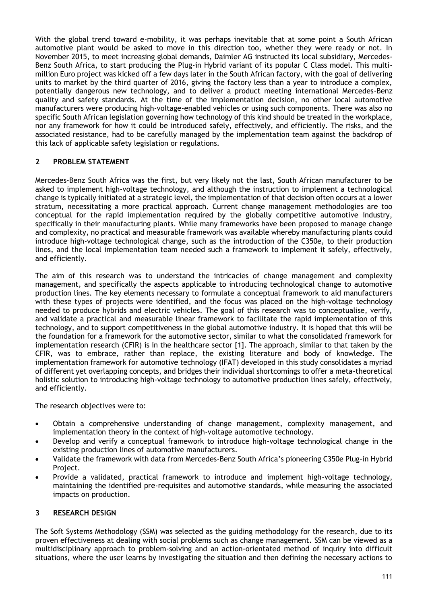With the global trend toward e-mobility, it was perhaps inevitable that at some point a South African automotive plant would be asked to move in this direction too, whether they were ready or not. In November 2015, to meet increasing global demands, Daimler AG instructed its local subsidiary, Mercedes-Benz South Africa, to start producing the Plug-in Hybrid variant of its popular C Class model. This multimillion Euro project was kicked off a few days later in the South African factory, with the goal of delivering units to market by the third quarter of 2016, giving the factory less than a year to introduce a complex, potentially dangerous new technology, and to deliver a product meeting international Mercedes-Benz quality and safety standards. At the time of the implementation decision, no other local automotive manufacturers were producing high-voltage-enabled vehicles or using such components. There was also no specific South African legislation governing how technology of this kind should be treated in the workplace, nor any framework for how it could be introduced safely, effectively, and efficiently. The risks, and the associated resistance, had to be carefully managed by the implementation team against the backdrop of this lack of applicable safety legislation or regulations.

# **2 PROBLEM STATEMENT**

Mercedes-Benz South Africa was the first, but very likely not the last, South African manufacturer to be asked to implement high-voltage technology, and although the instruction to implement a technological change is typically initiated at a strategic level, the implementation of that decision often occurs at a lower stratum, necessitating a more practical approach. Current change management methodologies are too conceptual for the rapid implementation required by the globally competitive automotive industry, specifically in their manufacturing plants. While many frameworks have been proposed to manage change and complexity, no practical and measurable framework was available whereby manufacturing plants could introduce high-voltage technological change, such as the introduction of the C350e, to their production lines, and the local implementation team needed such a framework to implement it safely, effectively, and efficiently.

The aim of this research was to understand the intricacies of change management and complexity management, and specifically the aspects applicable to introducing technological change to automotive production lines. The key elements necessary to formulate a conceptual framework to aid manufacturers with these types of projects were identified, and the focus was placed on the high-voltage technology needed to produce hybrids and electric vehicles. The goal of this research was to conceptualise, verify, and validate a practical and measurable linear framework to facilitate the rapid implementation of this technology, and to support competitiveness in the global automotive industry. It is hoped that this will be the foundation for a framework for the automotive sector, similar to what the consolidated framework for implementation research (CFIR) is in the healthcare sector [1]. The approach, similar to that taken by the CFIR, was to embrace, rather than replace, the existing literature and body of knowledge. The implementation framework for automotive technology (IFAT) developed in this study consolidates a myriad of different yet overlapping concepts, and bridges their individual shortcomings to offer a meta-theoretical holistic solution to introducing high-voltage technology to automotive production lines safely, effectively, and efficiently.

The research objectives were to:

- Obtain a comprehensive understanding of change management, complexity management, and implementation theory in the context of high-voltage automotive technology.
- Develop and verify a conceptual framework to introduce high-voltage technological change in the existing production lines of automotive manufacturers.
- Validate the framework with data from Mercedes-Benz South Africa's pioneering C350e Plug-in Hybrid Project.
- Provide a validated, practical framework to introduce and implement high-voltage technology, maintaining the identified pre-requisites and automotive standards, while measuring the associated impacts on production.

## **3 RESEARCH DESIGN**

The Soft Systems Methodology (SSM) was selected as the guiding methodology for the research, due to its proven effectiveness at dealing with social problems such as change management. SSM can be viewed as a multidisciplinary approach to problem-solving and an action-orientated method of inquiry into difficult situations, where the user learns by investigating the situation and then defining the necessary actions to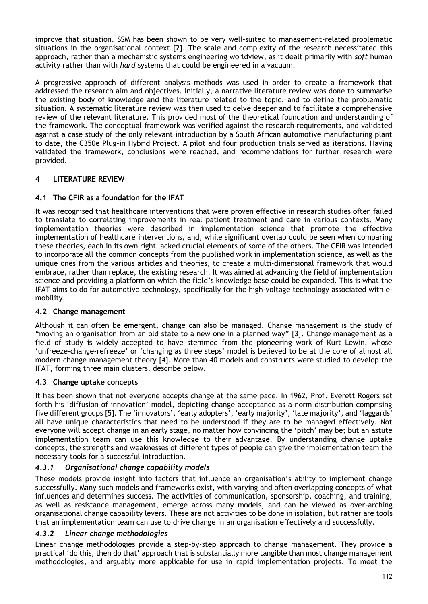improve that situation. SSM has been shown to be very well-suited to management-related problematic situations in the organisational context [2]. The scale and complexity of the research necessitated this approach, rather than a mechanistic systems engineering worldview, as it dealt primarily with *soft* human activity rather than with *hard* systems that could be engineered in a vacuum.

A progressive approach of different analysis methods was used in order to create a framework that addressed the research aim and objectives. Initially, a narrative literature review was done to summarise the existing body of knowledge and the literature related to the topic, and to define the problematic situation. A systematic literature review was then used to delve deeper and to facilitate a comprehensive review of the relevant literature. This provided most of the theoretical foundation and understanding of the framework. The conceptual framework was verified against the research requirements, and validated against a case study of the only relevant introduction by a South African automotive manufacturing plant to date, the C350e Plug-in Hybrid Project. A pilot and four production trials served as iterations. Having validated the framework, conclusions were reached, and recommendations for further research were provided.

# **4 LITERATURE REVIEW**

# **4.1 The CFIR as a foundation for the IFAT**

It was recognised that healthcare interventions that were proven effective in research studies often failed to translate to correlating improvements in real patient treatment and care in various contexts. Many implementation theories were described in implementation science that promote the effective implementation of healthcare interventions, and, while significant overlap could be seen when comparing these theories, each in its own right lacked crucial elements of some of the others. The CFIR was intended to incorporate all the common concepts from the published work in implementation science, as well as the unique ones from the various articles and theories, to create a multi-dimensional framework that would embrace, rather than replace, the existing research. It was aimed at advancing the field of implementation science and providing a platform on which the field's knowledge base could be expanded. This is what the IFAT aims to do for automotive technology, specifically for the high-voltage technology associated with emobility.

## **4.2 Change management**

Although it can often be emergent, change can also be managed. Change management is the study of "moving an organisation from an old state to a new one in a planned way" [3]. Change management as a field of study is widely accepted to have stemmed from the pioneering work of Kurt Lewin, whose 'unfreeze-change-refreeze' or 'changing as three steps' model is believed to be at the core of almost all modern change management theory [4]. More than 40 models and constructs were studied to develop the IFAT, forming three main clusters, describe below.

## **4.3 Change uptake concepts**

It has been shown that not everyone accepts change at the same pace. In 1962, Prof. Everett Rogers set forth his 'diffusion of innovation' model, depicting change acceptance as a norm distribution comprising five different groups [5]. The 'innovators', 'early adopters', 'early majority', 'late majority', and 'laggards' all have unique characteristics that need to be understood if they are to be managed effectively. Not everyone will accept change in an early stage, no matter how convincing the 'pitch' may be; but an astute implementation team can use this knowledge to their advantage. By understanding change uptake concepts, the strengths and weaknesses of different types of people can give the implementation team the necessary tools for a successful introduction.

# *4.3.1 Organisational change capability models*

These models provide insight into factors that influence an organisation's ability to implement change successfully. Many such models and frameworks exist, with varying and often overlapping concepts of what influences and determines success. The activities of communication, sponsorship, coaching, and training, as well as resistance management, emerge across many models, and can be viewed as over-arching organisational change capability levers. These are not activities to be done in isolation, but rather are tools that an implementation team can use to drive change in an organisation effectively and successfully.

## *4.3.2 Linear change methodologies*

Linear change methodologies provide a step-by-step approach to change management. They provide a practical 'do this, then do that' approach that is substantially more tangible than most change management methodologies, and arguably more applicable for use in rapid implementation projects. To meet the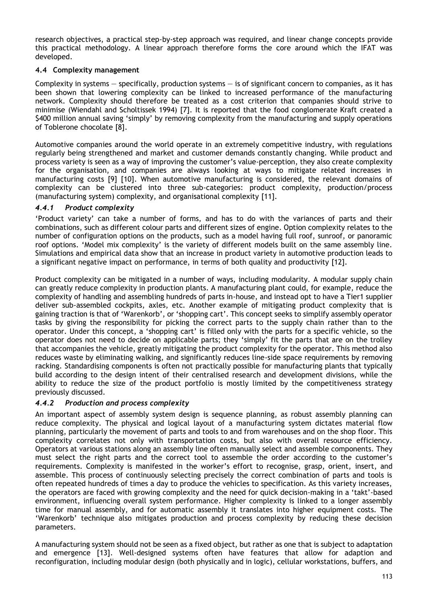research objectives, a practical step-by-step approach was required, and linear change concepts provide this practical methodology. A linear approach therefore forms the core around which the IFAT was developed.

## **4.4 Complexity management**

Complexity in systems — specifically, production systems — is of significant concern to companies, as it has been shown that lowering complexity can be linked to increased performance of the manufacturing network. Complexity should therefore be treated as a cost criterion that companies should strive to minimise (Wiendahl and Scholtissek 1994) [7]. It is reported that the food conglomerate Kraft created a \$400 million annual saving 'simply' by removing complexity from the manufacturing and supply operations of Toblerone chocolate [8].

Automotive companies around the world operate in an extremely competitive industry, with regulations regularly being strengthened and market and customer demands constantly changing. While product and process variety is seen as a way of improving the customer's value-perception, they also create complexity for the organisation, and companies are always looking at ways to mitigate related increases in manufacturing costs [9] [10]. When automotive manufacturing is considered, the relevant domains of complexity can be clustered into three sub-categories: product complexity, production/process (manufacturing system) complexity, and organisational complexity [11].

# *4.4.1 Product complexity*

'Product variety' can take a number of forms, and has to do with the variances of parts and their combinations, such as different colour parts and different sizes of engine. Option complexity relates to the number of configuration options on the products, such as a model having full roof, sunroof, or panoramic roof options. 'Model mix complexity' is the variety of different models built on the same assembly line. Simulations and empirical data show that an increase in product variety in automotive production leads to a significant negative impact on performance, in terms of both quality and productivity [12].

Product complexity can be mitigated in a number of ways, including modularity. A modular supply chain can greatly reduce complexity in production plants. A manufacturing plant could, for example, reduce the complexity of handling and assembling hundreds of parts in-house, and instead opt to have a Tier1 supplier deliver sub-assembled cockpits, axles, etc. Another example of mitigating product complexity that is gaining traction is that of 'Warenkorb', or 'shopping cart'. This concept seeks to simplify assembly operator tasks by giving the responsibility for picking the correct parts to the supply chain rather than to the operator. Under this concept, a 'shopping cart' is filled only with the parts for a specific vehicle, so the operator does not need to decide on applicable parts; they 'simply' fit the parts that are on the trolley that accompanies the vehicle, greatly mitigating the product complexity for the operator. This method also reduces waste by eliminating walking, and significantly reduces line-side space requirements by removing racking. Standardising components is often not practically possible for manufacturing plants that typically build according to the design intent of their centralised research and development divisions, while the ability to reduce the size of the product portfolio is mostly limited by the competitiveness strategy previously discussed.

# *4.4.2 Production and process complexity*

An important aspect of assembly system design is sequence planning, as robust assembly planning can reduce complexity. The physical and logical layout of a manufacturing system dictates material flow planning, particularly the movement of parts and tools to and from warehouses and on the shop floor. This complexity correlates not only with transportation costs, but also with overall resource efficiency. Operators at various stations along an assembly line often manually select and assemble components. They must select the right parts and the correct tool to assemble the order according to the customer's requirements. Complexity is manifested in the worker's effort to recognise, grasp, orient, insert, and assemble. This process of continuously selecting precisely the correct combination of parts and tools is often repeated hundreds of times a day to produce the vehicles to specification. As this variety increases, the operators are faced with growing complexity and the need for quick decision-making in a 'takt'-based environment, influencing overall system performance. Higher complexity is linked to a longer assembly time for manual assembly, and for automatic assembly it translates into higher equipment costs. The 'Warenkorb' technique also mitigates production and process complexity by reducing these decision parameters.

A manufacturing system should not be seen as a fixed object, but rather as one that is subject to adaptation and emergence [13]. Well-designed systems often have features that allow for adaption and reconfiguration, including modular design (both physically and in logic), cellular workstations, buffers, and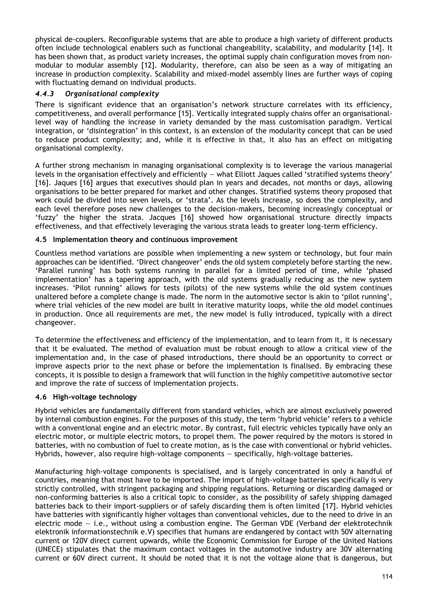physical de-couplers. Reconfigurable systems that are able to produce a high variety of different products often include technological enablers such as functional changeability, scalability, and modularity [14]. It has been shown that, as product variety increases, the optimal supply chain configuration moves from nonmodular to modular assembly [12]. Modularity, therefore, can also be seen as a way of mitigating an increase in production complexity. Scalability and mixed-model assembly lines are further ways of coping with fluctuating demand on individual products.

# *4.4.3 Organisational complexity*

There is significant evidence that an organisation's network structure correlates with its efficiency, competitiveness, and overall performance [15]. Vertically integrated supply chains offer an organisationallevel way of handling the increase in variety demanded by the mass customisation paradigm. Vertical integration, or 'disintegration' in this context, is an extension of the modularity concept that can be used to reduce product complexity; and, while it is effective in that, it also has an effect on mitigating organisational complexity.

A further strong mechanism in managing organisational complexity is to leverage the various managerial levels in the organisation effectively and efficiently — what Elliott Jaques called 'stratified systems theory' [16]. Jaques [16] argues that executives should plan in years and decades, not months or days, allowing organisations to be better prepared for market and other changes. Stratified systems theory proposed that work could be divided into seven levels, or 'strata'. As the levels increase, so does the complexity, and each level therefore poses new challenges to the decision-makers, becoming increasingly conceptual or 'fuzzy' the higher the strata. Jacques [16] showed how organisational structure directly impacts effectiveness, and that effectively leveraging the various strata leads to greater long-term efficiency.

## **4.5 Implementation theory and continuous improvement**

Countless method variations are possible when implementing a new system or technology, but four main approaches can be identified. 'Direct changeover' ends the old system completely before starting the new. 'Parallel running' has both systems running in parallel for a limited period of time, while 'phased implementation' has a tapering approach, with the old systems gradually reducing as the new system increases. 'Pilot running' allows for tests (pilots) of the new systems while the old system continues unaltered before a complete change is made. The norm in the automotive sector is akin to 'pilot running', where trial vehicles of the new model are built in iterative maturity loops, while the old model continues in production. Once all requirements are met, the new model is fully introduced, typically with a direct changeover.

To determine the effectiveness and efficiency of the implementation, and to learn from it, it is necessary that it be evaluated. The method of evaluation must be robust enough to allow a critical view of the implementation and, in the case of phased introductions, there should be an opportunity to correct or improve aspects prior to the next phase or before the implementation is finalised. By embracing these concepts, it is possible to design a framework that will function in the highly competitive automotive sector and improve the rate of success of implementation projects.

## **4.6 High-voltage technology**

Hybrid vehicles are fundamentally different from standard vehicles, which are almost exclusively powered by internal combustion engines. For the purposes of this study, the term 'hybrid vehicle' refers to a vehicle with a conventional engine and an electric motor. By contrast, full electric vehicles typically have only an electric motor, or multiple electric motors, to propel them. The power required by the motors is stored in batteries, with no combustion of fuel to create motion, as is the case with conventional or hybrid vehicles. Hybrids, however, also require high-voltage components — specifically, high-voltage batteries.

Manufacturing high-voltage components is specialised, and is largely concentrated in only a handful of countries, meaning that most have to be imported. The import of high-voltage batteries specifically is very strictly controlled, with stringent packaging and shipping regulations. Returning or discarding damaged or non-conforming batteries is also a critical topic to consider, as the possibility of safely shipping damaged batteries back to their import-suppliers or of safely discarding them is often limited [17]. Hybrid vehicles have batteries with significantly higher voltages than conventional vehicles, due to the need to drive in an electric mode  $-$  i.e., without using a combustion engine. The German VDE (Verband der elektrotechnik elektronik informationstechnik e.V) specifies that humans are endangered by contact with 50V alternating current or 120V direct current upwards, while the Economic Commission for Europe of the United Nations (UNECE) stipulates that the maximum contact voltages in the automotive industry are 30V alternating current or 60V direct current. It should be noted that it is not the voltage alone that is dangerous, but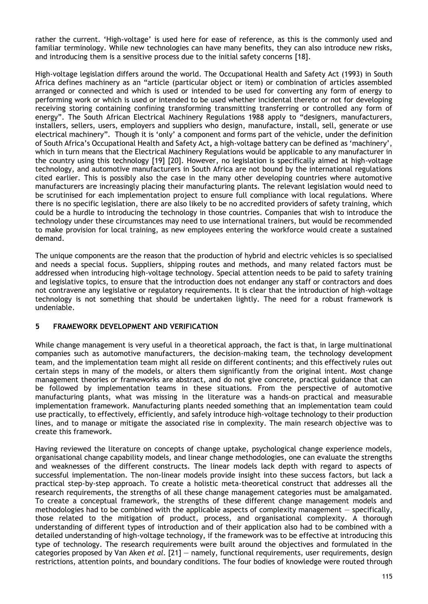rather the current. 'High-voltage' is used here for ease of reference, as this is the commonly used and familiar terminology. While new technologies can have many benefits, they can also introduce new risks, and introducing them is a sensitive process due to the initial safety concerns [18].

High-voltage legislation differs around the world. The Occupational Health and Safety Act (1993) in South Africa defines machinery as an "article (particular object or item) or combination of articles assembled arranged or connected and which is used or intended to be used for converting any form of energy to performing work or which is used or intended to be used whether incidental thereto or not for developing receiving storing containing confining transforming transmitting transferring or controlled any form of energy". The South African Electrical Machinery Regulations 1988 apply to "designers, manufacturers, installers, sellers, users, employers and suppliers who design, manufacture, install, sell, generate or use electrical machinery". Though it is 'only' a component and forms part of the vehicle, under the definition of South Africa's Occupational Health and Safety Act**,** a high-voltage battery can be defined as 'machinery', which in turn means that the Electrical Machinery Regulations would be applicable to any manufacturer in the country using this technology [19] [20]. However, no legislation is specifically aimed at high-voltage technology, and automotive manufacturers in South Africa are not bound by the international regulations cited earlier. This is possibly also the case in the many other developing countries where automotive manufacturers are increasingly placing their manufacturing plants. The relevant legislation would need to be scrutinised for each implementation project to ensure full compliance with local regulations. Where there is no specific legislation, there are also likely to be no accredited providers of safety training, which could be a hurdle to introducing the technology in those countries. Companies that wish to introduce the technology under these circumstances may need to use international trainers, but would be recommended to make provision for local training, as new employees entering the workforce would create a sustained demand.

The unique components are the reason that the production of hybrid and electric vehicles is so specialised and needs a special focus. Suppliers, shipping routes and methods, and many related factors must be addressed when introducing high-voltage technology. Special attention needs to be paid to safety training and legislative topics, to ensure that the introduction does not endanger any staff or contractors and does not contravene any legislative or regulatory requirements. It is clear that the introduction of high-voltage technology is not something that should be undertaken lightly. The need for a robust framework is undeniable.

## **5 FRAMEWORK DEVELOPMENT AND VERIFICATION**

While change management is very useful in a theoretical approach, the fact is that, in large multinational companies such as automotive manufacturers, the decision-making team, the technology development team, and the implementation team might all reside on different continents; and this effectively rules out certain steps in many of the models, or alters them significantly from the original intent. Most change management theories or frameworks are abstract, and do not give concrete, practical guidance that can be followed by implementation teams in these situations. From the perspective of automotive manufacturing plants, what was missing in the literature was a hands-on practical and measurable implementation framework. Manufacturing plants needed something that an implementation team could use practically, to effectively, efficiently, and safely introduce high-voltage technology to their production lines, and to manage or mitigate the associated rise in complexity. The main research objective was to create this framework.

Having reviewed the literature on concepts of change uptake, psychological change experience models, organisational change capability models, and linear change methodologies, one can evaluate the strengths and weaknesses of the different constructs. The linear models lack depth with regard to aspects of successful implementation. The non-linear models provide insight into these success factors, but lack a practical step-by-step approach. To create a holistic meta-theoretical construct that addresses all the research requirements, the strengths of all these change management categories must be amalgamated. To create a conceptual framework, the strengths of these different change management models and methodologies had to be combined with the applicable aspects of complexity management — specifically, those related to the mitigation of product, process, and organisational complexity. A thorough understanding of different types of introduction and of their application also had to be combined with a detailed understanding of high-voltage technology, if the framework was to be effective at introducing this type of technology. The research requirements were built around the objectives and formulated in the categories proposed by Van Aken *et al*. [21] — namely, functional requirements, user requirements, design restrictions, attention points, and boundary conditions. The four bodies of knowledge were routed through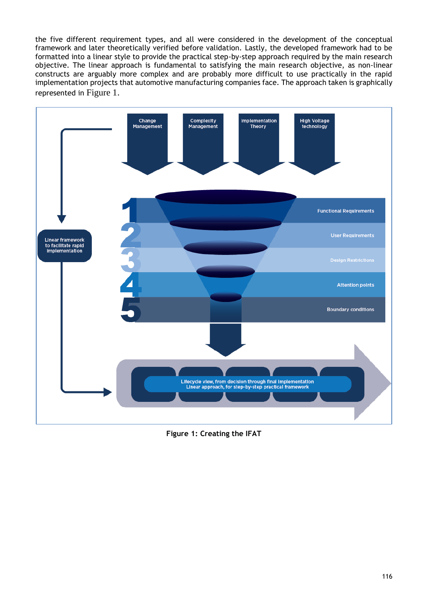the five different requirement types, and all were considered in the development of the conceptual framework and later theoretically verified before validation. Lastly, the developed framework had to be formatted into a linear style to provide the practical step-by-step approach required by the main research objective. The linear approach is fundamental to satisfying the main research objective, as non-linear constructs are arguably more complex and are probably more difficult to use practically in the rapid implementation projects that automotive manufacturing companies face. The approach taken is graphically represented in [Figure 1](#page-6-0).



<span id="page-6-0"></span>**Figure 1: Creating the IFAT**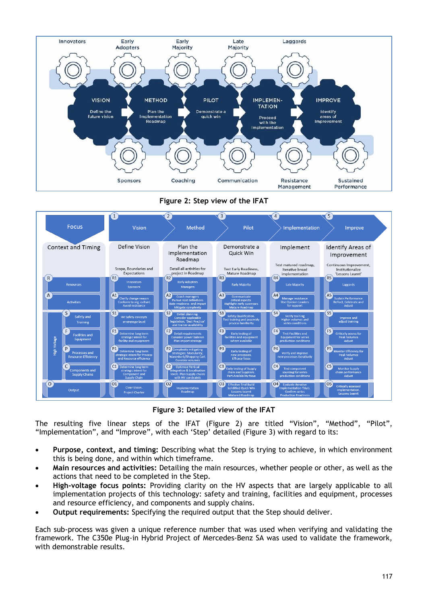

# **Figure 2: Step view of the IFAT**

<span id="page-7-0"></span>

**Figure 3: Detailed view of the IFAT**

<span id="page-7-1"></span>The resulting five linear steps of the IFAT [\(Figure 2](#page-7-0)) are titled "Vision", "Method", "Pilot", "Implementation", and "Improve", with each 'Step' detailed ([Figure 3\)](#page-7-1) with regard to its:

- **Purpose, context, and timing:** Describing what the Step is trying to achieve, in which environment this is being done, and within which timeframe.
- **Main resources and activities:** Detailing the main resources, whether people or other, as well as the actions that need to be completed in the Step.
- **High-voltage focus points:** Providing clarity on the HV aspects that are largely applicable to all implementation projects of this technology: safety and training, facilities and equipment, processes and resource efficiency, and components and supply chains.
- **Output requirements:** Specifying the required output that the Step should deliver.

Each sub-process was given a unique reference number that was used when verifying and validating the framework. The C350e Plug-in Hybrid Project of Mercedes-Benz SA was used to validate the framework, with demonstrable results.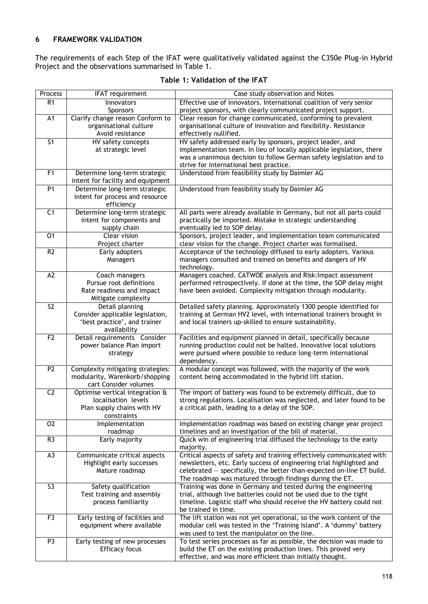# **6 FRAMEWORK VALIDATION**

The requirements of each Step of the IFAT were qualitatively validated against the C350e Plug-in Hybrid Project and the observations summarised in [Table 1.](#page-8-0)

<span id="page-8-0"></span>

| Process         | <b>IFAT requirement</b>                                          | Case study observation and Notes                                                                                                             |
|-----------------|------------------------------------------------------------------|----------------------------------------------------------------------------------------------------------------------------------------------|
| R1              | Innovators                                                       | Effective use of innovators. International coalition of very senior                                                                          |
|                 | <b>Sponsors</b>                                                  | project sponsors, with clearly communicated project support.                                                                                 |
| A1              | Clarify change reason Conform to                                 | Clear reason for change communicated, conforming to prevalent                                                                                |
|                 | organisational culture                                           | organisational culture of innovation and flexibility. Resistance                                                                             |
|                 | Avoid resistance                                                 | effectively nullified.                                                                                                                       |
| 51              | HV safety concepts                                               | HV safety addressed early by sponsors, project leader, and                                                                                   |
|                 | at strategic level                                               | implementation team. In lieu of locally applicable legislation, there<br>was a unanimous decision to follow German safety legislation and to |
|                 |                                                                  | strive for international best practice.                                                                                                      |
| F <sub>1</sub>  | Determine long-term strategic                                    | Understood from feasibility study by Daimler AG                                                                                              |
|                 | intent for facility and equipment                                |                                                                                                                                              |
| P <sub>1</sub>  | Determine long-term strategic                                    | Understood from feasibility study by Daimler AG                                                                                              |
|                 | intent for process and resource                                  |                                                                                                                                              |
|                 | efficiency                                                       |                                                                                                                                              |
| C1              | Determine long-term strategic                                    | All parts were already available in Germany, but not all parts could                                                                         |
|                 | intent for components and                                        | practically be imported. Mistake in strategic understanding                                                                                  |
| 01              | supply chain<br>Clear vision                                     | eventually led to SOP delay.<br>Sponsors, project leader, and implementation team communicated                                               |
|                 | Project charter                                                  | clear vision for the change. Project charter was formalised.                                                                                 |
| R <sub>2</sub>  | Early adopters                                                   | Acceptance of the technology diffused to early adopters. Various                                                                             |
|                 | Managers                                                         | managers consulted and trained on benefits and dangers of HV                                                                                 |
|                 |                                                                  | technology.                                                                                                                                  |
| A <sub>2</sub>  | Coach managers                                                   | Managers coached. CATWOE analysis and Risk: Impact assessment                                                                                |
|                 | Pursue root definitions                                          | performed retrospectively. If done at the time, the SOP delay might                                                                          |
|                 | Rate readiness and impact                                        | have been avoided. Complexity mitigation through modularity.                                                                                 |
|                 | Mitigate complexity                                              |                                                                                                                                              |
| S <sub>2</sub>  | Detail planning                                                  | Detailed safety planning. Approximately 1300 people identified for                                                                           |
|                 | Consider applicable legislation,<br>'best practice', and trainer | training at German HV2 level, with international trainers brought in<br>and local trainers up-skilled to ensure sustainability.              |
|                 | availability                                                     |                                                                                                                                              |
| F <sub>2</sub>  | Detail requirements Consider                                     | Facilities and equipment planned in detail, specifically because                                                                             |
|                 | power balance Plan import                                        | running production could not be halted. Innovative local solutions                                                                           |
|                 | strategy                                                         | were pursued where possible to reduce long-term international                                                                                |
|                 |                                                                  | dependency.                                                                                                                                  |
| P <sub>2</sub>  | Complexity mitigating strategies:                                | A modular concept was followed, with the majority of the work                                                                                |
|                 | modularity, Warenkorb/shopping<br>cart Consider volumes          | content being accommodated in the hybrid lift station.                                                                                       |
| $\overline{C2}$ | Optimise vertical integration &                                  | The import of battery was found to be extremely difficult, due to                                                                            |
|                 | localisation levels                                              | strong regulations. Localisation was neglected, and later found to be                                                                        |
|                 | Plan supply chains with HV                                       | a critical path, leading to a delay of the SOP.                                                                                              |
|                 | constraints                                                      |                                                                                                                                              |
| 02              | Implementation                                                   | Implementation roadmap was based on existing change year project                                                                             |
|                 | roadmap                                                          | timelines and an investigation of the bill of material.                                                                                      |
| R <sub>3</sub>  | Early majority                                                   | Quick win of engineering trial diffused the technology to the early                                                                          |
| A3              | Communicate critical aspects                                     | majority.<br>Critical aspects of safety and training effectively communicated with                                                           |
|                 | Highlight early successes                                        | newsletters, etc. Early success of engineering trial highlighted and                                                                         |
|                 | Mature roadmap                                                   | celebrated – specifically, the better-than-expected on-line ET build.                                                                        |
|                 |                                                                  | The roadmap was matured through findings during the ET.                                                                                      |
| S <sub>3</sub>  | Safety qualification                                             | Training was done in Germany and tested during the engineering                                                                               |
|                 | Test training and assembly                                       | trial, although live batteries could not be used due to the tight                                                                            |
|                 | process familiarity                                              | timeline. Logistic staff who should receive the HV battery could not                                                                         |
|                 |                                                                  | be trained in time.                                                                                                                          |
| F3              | Early testing of facilities and                                  | The lift station was not yet operational, so the work content of the                                                                         |
|                 | equipment where available                                        | modular cell was tested in the 'Training Island'. A 'dummy' battery                                                                          |
| P <sub>3</sub>  | Early testing of new processes                                   | was used to test the manipulator on the line.<br>To test series processes as far as possible, the decision was made to                       |
|                 | <b>Efficacy focus</b>                                            | build the ET on the existing production lines. This proved very                                                                              |
|                 |                                                                  | effective, and was more efficient than initially thought.                                                                                    |

#### **Table 1: Validation of the IFAT**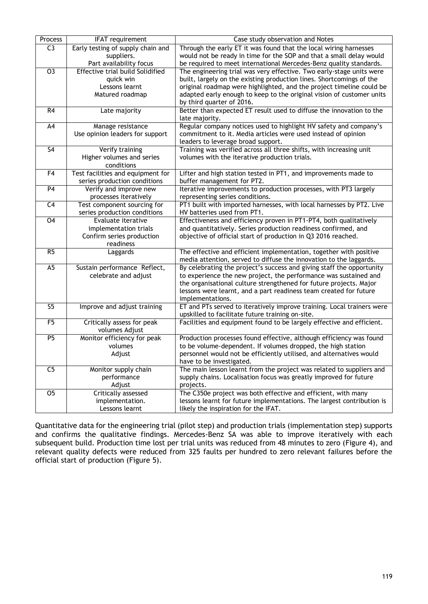| Process                  | <b>IFAT</b> requirement                                     | Case study observation and Notes                                                                        |
|--------------------------|-------------------------------------------------------------|---------------------------------------------------------------------------------------------------------|
| $\overline{C}$           | Early testing of supply chain and                           | Through the early ET it was found that the local wiring harnesses                                       |
|                          | suppliers.                                                  | would not be ready in time for the SOP and that a small delay would                                     |
|                          | Part availability focus                                     | be required to meet international Mercedes-Benz quality standards.                                      |
| $\overline{03}$          | <b>Effective trial build Solidified</b>                     | The engineering trial was very effective. Two early-stage units were                                    |
|                          | quick win                                                   | built, largely on the existing production lines. Shortcomings of the                                    |
|                          | Lessons learnt                                              | original roadmap were highlighted, and the project timeline could be                                    |
|                          | Matured roadmap                                             | adapted early enough to keep to the original vision of customer units                                   |
|                          |                                                             | by third quarter of 2016.                                                                               |
| R4                       | Late majority                                               | Better than expected ET result used to diffuse the innovation to the                                    |
|                          |                                                             | late majority.                                                                                          |
| $\overline{A4}$          | Manage resistance                                           | Regular company notices used to highlight HV safety and company's                                       |
|                          | Use opinion leaders for support                             | commitment to it. Media articles were used instead of opinion                                           |
|                          |                                                             | leaders to leverage broad support.                                                                      |
| $\overline{\mathsf{S4}}$ | Verify training                                             | Training was verified across all three shifts, with increasing unit                                     |
|                          | Higher volumes and series                                   | volumes with the iterative production trials.                                                           |
|                          | conditions                                                  |                                                                                                         |
| F <sub>4</sub>           | Test facilities and equipment for                           | Lifter and high station tested in PT1, and improvements made to                                         |
| P <sub>4</sub>           | series production conditions                                | buffer management for PT2.                                                                              |
|                          | Verify and improve new                                      | Iterative improvements to production processes, with PT3 largely                                        |
| C <sub>4</sub>           | processes iteratively                                       | representing series conditions.<br>PT1 built with imported harnesses, with local harnesses by PT2. Live |
|                          | Test component sourcing for<br>series production conditions | HV batteries used from PT1.                                                                             |
| 04                       | Evaluate iterative                                          | Effectiveness and efficiency proven in PT1-PT4, both qualitatively                                      |
|                          | implementation trials                                       | and quantitatively. Series production readiness confirmed, and                                          |
|                          | Confirm series production                                   | objective of official start of production in Q3 2016 reached.                                           |
|                          | readiness                                                   |                                                                                                         |
| R <sub>5</sub>           | Laggards                                                    | The effective and efficient implementation, together with positive                                      |
|                          |                                                             | media attention, served to diffuse the innovation to the laggards.                                      |
| A <sub>5</sub>           | Sustain performance Reflect,                                | By celebrating the project's success and giving staff the opportunity                                   |
|                          | celebrate and adjust                                        | to experience the new project, the performance was sustained and                                        |
|                          |                                                             | the organisational culture strengthened for future projects. Major                                      |
|                          |                                                             | lessons were learnt, and a part readiness team created for future                                       |
|                          |                                                             | implementations.                                                                                        |
| S <sub>5</sub>           | Improve and adjust training                                 | ET and PTs served to iteratively improve training. Local trainers were                                  |
|                          |                                                             | upskilled to facilitate future training on-site.                                                        |
| F5                       | Critically assess for peak                                  | Facilities and equipment found to be largely effective and efficient.                                   |
|                          | volumes Adjust                                              |                                                                                                         |
| P <sub>5</sub>           | Monitor efficiency for peak                                 | Production processes found effective, although efficiency was found                                     |
|                          | volumes                                                     | to be volume-dependent. If volumes dropped, the high station                                            |
|                          | Adjust                                                      | personnel would not be efficiently utilised, and alternatives would                                     |
|                          |                                                             | have to be investigated.                                                                                |
| C <sub>5</sub>           | Monitor supply chain                                        | The main lesson learnt from the project was related to suppliers and                                    |
|                          | performance                                                 | supply chains. Localisation focus was greatly improved for future                                       |
|                          | Adjust                                                      | projects.                                                                                               |
| $\overline{05}$          | Critically assessed                                         | The C350e project was both effective and efficient, with many                                           |
|                          | implementation.                                             | lessons learnt for future implementations. The largest contribution is                                  |
|                          | Lessons learnt                                              | likely the inspiration for the IFAT.                                                                    |

Quantitative data for the engineering trial (pilot step) and production trials (implementation step) supports and confirms the qualitative findings. Mercedes-Benz SA was able to improve iteratively with each subsequent build. Production time lost per trial units was reduced from 48 minutes to zero [\(Figure 4\)](#page-10-0), and relevant quality defects were reduced from 325 faults per hundred to zero relevant failures before the official start of production [\(Figure 5\)](#page-10-1).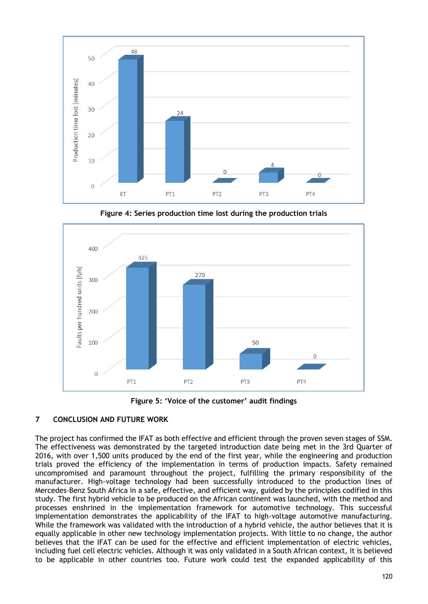

<span id="page-10-0"></span>

**Figure 4: Series production time lost during the production trials**

**Figure 5: 'Voice of the customer' audit findings**

## <span id="page-10-1"></span>**7 CONCLUSION AND FUTURE WORK**

The project has confirmed the IFAT as both effective and efficient through the proven seven stages of SSM. The effectiveness was demonstrated by the targeted introduction date being met in the 3rd Quarter of 2016, with over 1,500 units produced by the end of the first year, while the engineering and production trials proved the efficiency of the implementation in terms of production impacts. Safety remained uncompromised and paramount throughout the project, fulfilling the primary responsibility of the manufacturer. High-voltage technology had been successfully introduced to the production lines of Mercedes-Benz South Africa in a safe, effective, and efficient way, guided by the principles codified in this study. The first hybrid vehicle to be produced on the African continent was launched, with the method and processes enshrined in the implementation framework for automotive technology. This successful implementation demonstrates the applicability of the IFAT to high-voltage automotive manufacturing. While the framework was validated with the introduction of a hybrid vehicle, the author believes that it is equally applicable in other new technology implementation projects. With little to no change, the author believes that the IFAT can be used for the effective and efficient implementation of electric vehicles, including fuel cell electric vehicles. Although it was only validated in a South African context, it is believed to be applicable in other countries too. Future work could test the expanded applicability of this